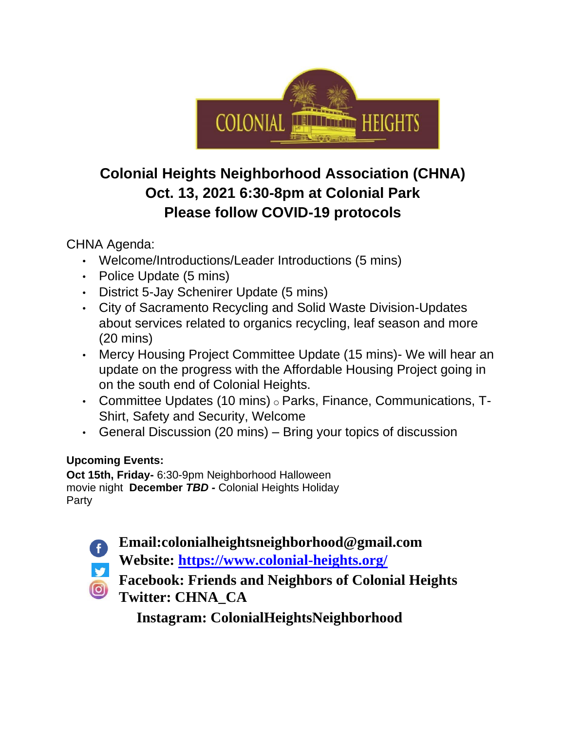

## **Colonial Heights Neighborhood Association (CHNA) Oct. 13, 2021 6:30-8pm at Colonial Park Please follow COVID-19 protocols**

CHNA Agenda:

- Welcome/Introductions/Leader Introductions (5 mins)
- Police Update (5 mins)
- District 5-Jay Schenirer Update (5 mins)
- City of Sacramento Recycling and Solid Waste Division-Updates about services related to organics recycling, leaf season and more (20 mins)
- Mercy Housing Project Committee Update (15 mins)- We will hear an update on the progress with the Affordable Housing Project going in on the south end of Colonial Heights.
- Committee Updates (10 mins) o Parks, Finance, Communications, T-Shirt, Safety and Security, Welcome
- General Discussion (20 mins) Bring your topics of discussion

### **Upcoming Events:**

**Oct 15th, Friday-** 6:30-9pm Neighborhood Halloween movie night **December** *TBD -* Colonial Heights Holiday Party



**Email:colonialheightsneighborhood@gmail.com** 

**Website: https://www.colonial-heights.org/**

**Facebook: Friends and Neighbors of Colonial Heights Twitter: CHNA\_CA**

**Instagram: ColonialHeightsNeighborhood**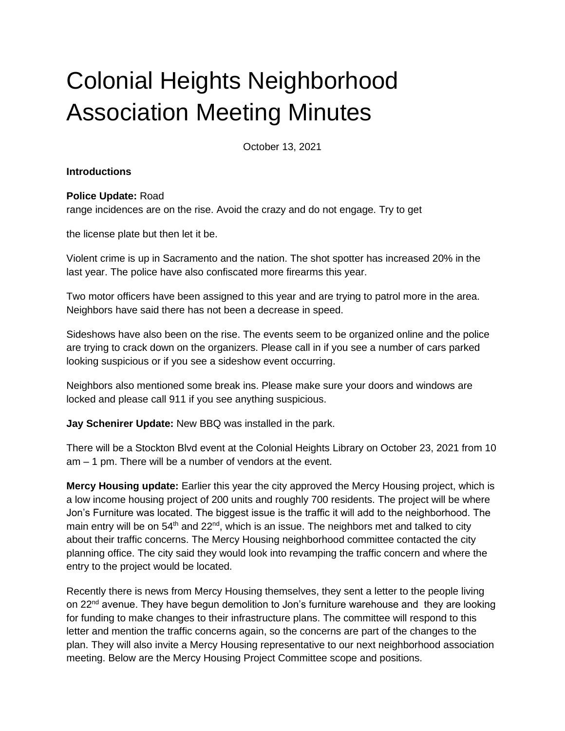# Colonial Heights Neighborhood Association Meeting Minutes

October 13, 2021

#### **Introductions**

#### **Police Update:** Road

range incidences are on the rise. Avoid the crazy and do not engage. Try to get

the license plate but then let it be.

Violent crime is up in Sacramento and the nation. The shot spotter has increased 20% in the last year. The police have also confiscated more firearms this year.

Two motor officers have been assigned to this year and are trying to patrol more in the area. Neighbors have said there has not been a decrease in speed.

Sideshows have also been on the rise. The events seem to be organized online and the police are trying to crack down on the organizers. Please call in if you see a number of cars parked looking suspicious or if you see a sideshow event occurring.

Neighbors also mentioned some break ins. Please make sure your doors and windows are locked and please call 911 if you see anything suspicious.

**Jay Schenirer Update:** New BBQ was installed in the park.

There will be a Stockton Blvd event at the Colonial Heights Library on October 23, 2021 from 10 am – 1 pm. There will be a number of vendors at the event.

**Mercy Housing update:** Earlier this year the city approved the Mercy Housing project, which is a low income housing project of 200 units and roughly 700 residents. The project will be where Jon's Furniture was located. The biggest issue is the traffic it will add to the neighborhood. The main entry will be on  $54<sup>th</sup>$  and  $22<sup>nd</sup>$ , which is an issue. The neighbors met and talked to city about their traffic concerns. The Mercy Housing neighborhood committee contacted the city planning office. The city said they would look into revamping the traffic concern and where the entry to the project would be located.

Recently there is news from Mercy Housing themselves, they sent a letter to the people living on 22<sup>nd</sup> avenue. They have begun demolition to Jon's furniture warehouse and they are looking for funding to make changes to their infrastructure plans. The committee will respond to this letter and mention the traffic concerns again, so the concerns are part of the changes to the plan. They will also invite a Mercy Housing representative to our next neighborhood association meeting. Below are the Mercy Housing Project Committee scope and positions.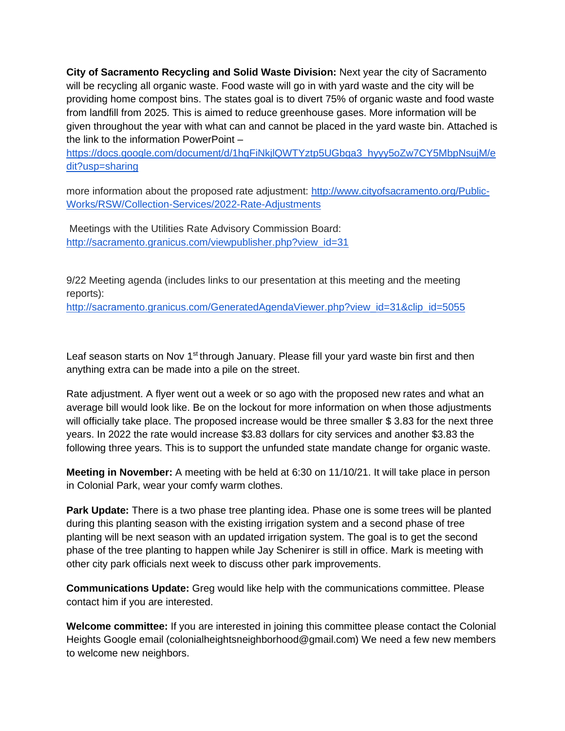**City of Sacramento Recycling and Solid Waste Division:** Next year the city of Sacramento will be recycling all organic waste. Food waste will go in with yard waste and the city will be providing home compost bins. The states goal is to divert 75% of organic waste and food waste from landfill from 2025. This is aimed to reduce greenhouse gases. More information will be given throughout the year with what can and cannot be placed in the yard waste bin. Attached is the link to the information PowerPoint –

[https://docs.google.com/document/d/1hqFiNkjlQWTYztp5UGbga3\\_hyyy5oZw7CY5MbpNsujM/e](https://docs.google.com/document/d/1hqFiNkjlQWTYztp5UGbga3_hyyy5oZw7CY5MbpNsujM/edit?usp=sharing) [dit?usp=sharing](https://docs.google.com/document/d/1hqFiNkjlQWTYztp5UGbga3_hyyy5oZw7CY5MbpNsujM/edit?usp=sharing)

more information about the proposed rate adjustment: [http://www.cityofsacramento.org/Public-](http://www.cityofsacramento.org/Public-Works/RSW/Collection-Services/2022-Rate-Adjustments)[Works/RSW/Collection-Services/2022-Rate-Adjustments](http://www.cityofsacramento.org/Public-Works/RSW/Collection-Services/2022-Rate-Adjustments)

Meetings with the Utilities Rate Advisory Commission Board: [http://sacramento.granicus.com/viewpublisher.php?view\\_id=31](http://sacramento.granicus.com/viewpublisher.php?view_id=31)

9/22 Meeting agenda (includes links to our presentation at this meeting and the meeting reports):

[http://sacramento.granicus.com/GeneratedAgendaViewer.php?view\\_id=31&clip\\_id=5055](http://sacramento.granicus.com/GeneratedAgendaViewer.php?view_id=31&clip_id=5055)

Leaf season starts on Nov 1<sup>st</sup> through January. Please fill your yard waste bin first and then anything extra can be made into a pile on the street.

Rate adjustment. A flyer went out a week or so ago with the proposed new rates and what an average bill would look like. Be on the lockout for more information on when those adjustments will officially take place. The proposed increase would be three smaller \$3.83 for the next three years. In 2022 the rate would increase \$3.83 dollars for city services and another \$3.83 the following three years. This is to support the unfunded state mandate change for organic waste.

**Meeting in November:** A meeting with be held at 6:30 on 11/10/21. It will take place in person in Colonial Park, wear your comfy warm clothes.

**Park Update:** There is a two phase tree planting idea. Phase one is some trees will be planted during this planting season with the existing irrigation system and a second phase of tree planting will be next season with an updated irrigation system. The goal is to get the second phase of the tree planting to happen while Jay Schenirer is still in office. Mark is meeting with other city park officials next week to discuss other park improvements.

**Communications Update:** Greg would like help with the communications committee. Please contact him if you are interested.

**Welcome committee:** If you are interested in joining this committee please contact the Colonial Heights Google email (colonialheightsneighborhood@gmail.com) We need a few new members to welcome new neighbors.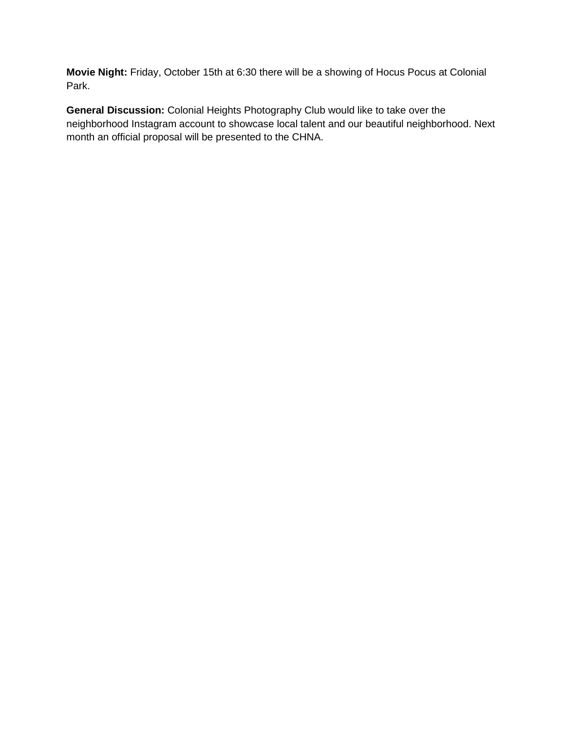**Movie Night:** Friday, October 15th at 6:30 there will be a showing of Hocus Pocus at Colonial Park.

**General Discussion:** Colonial Heights Photography Club would like to take over the neighborhood Instagram account to showcase local talent and our beautiful neighborhood. Next month an official proposal will be presented to the CHNA.